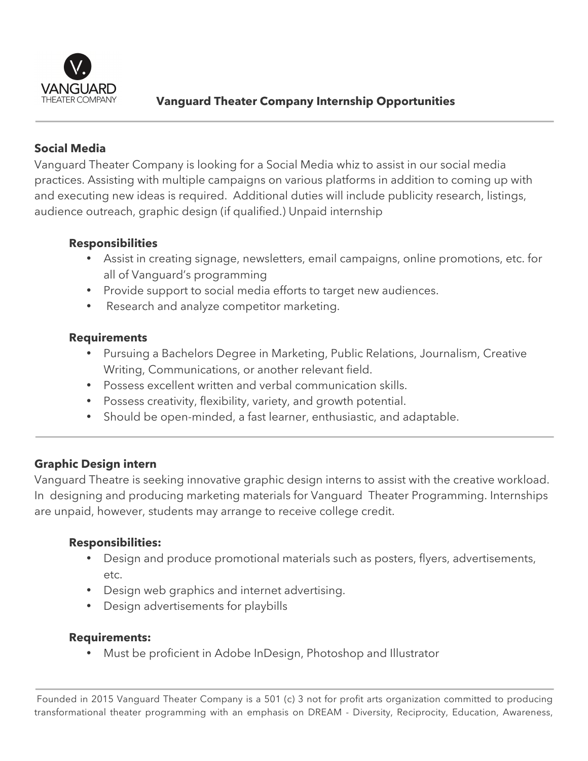

# **Vanguard Theater Company Internship Opportunities**

# **Social Media**

Vanguard Theater Company is looking for a Social Media whiz to assist in our social media practices. Assisting with multiple campaigns on various platforms in addition to coming up with and executing new ideas is required. Additional duties will include publicity research, listings, audience outreach, graphic design (if qualified.) Unpaid internship

## **Responsibilities**

- Assist in creating signage, newsletters, email campaigns, online promotions, etc. for all of Vanguard's programming
- Provide support to social media efforts to target new audiences.
- Research and analyze competitor marketing.

## **Requirements**

- Pursuing a Bachelors Degree in Marketing, Public Relations, Journalism, Creative Writing, Communications, or another relevant field.
- Possess excellent written and verbal communication skills.
- Possess creativity, flexibility, variety, and growth potential.
- Should be open-minded, a fast learner, enthusiastic, and adaptable.

# **Graphic Design intern**

Vanguard Theatre is seeking innovative graphic design interns to assist with the creative workload. In designing and producing marketing materials for Vanguard Theater Programming. Internships are unpaid, however, students may arrange to receive college credit.

## **Responsibilities:**

- Design and produce promotional materials such as posters, flyers, advertisements, etc.
- Design web graphics and internet advertising.
- Design advertisements for playbills

#### **Requirements:**

• Must be proficient in Adobe InDesign, Photoshop and Illustrator